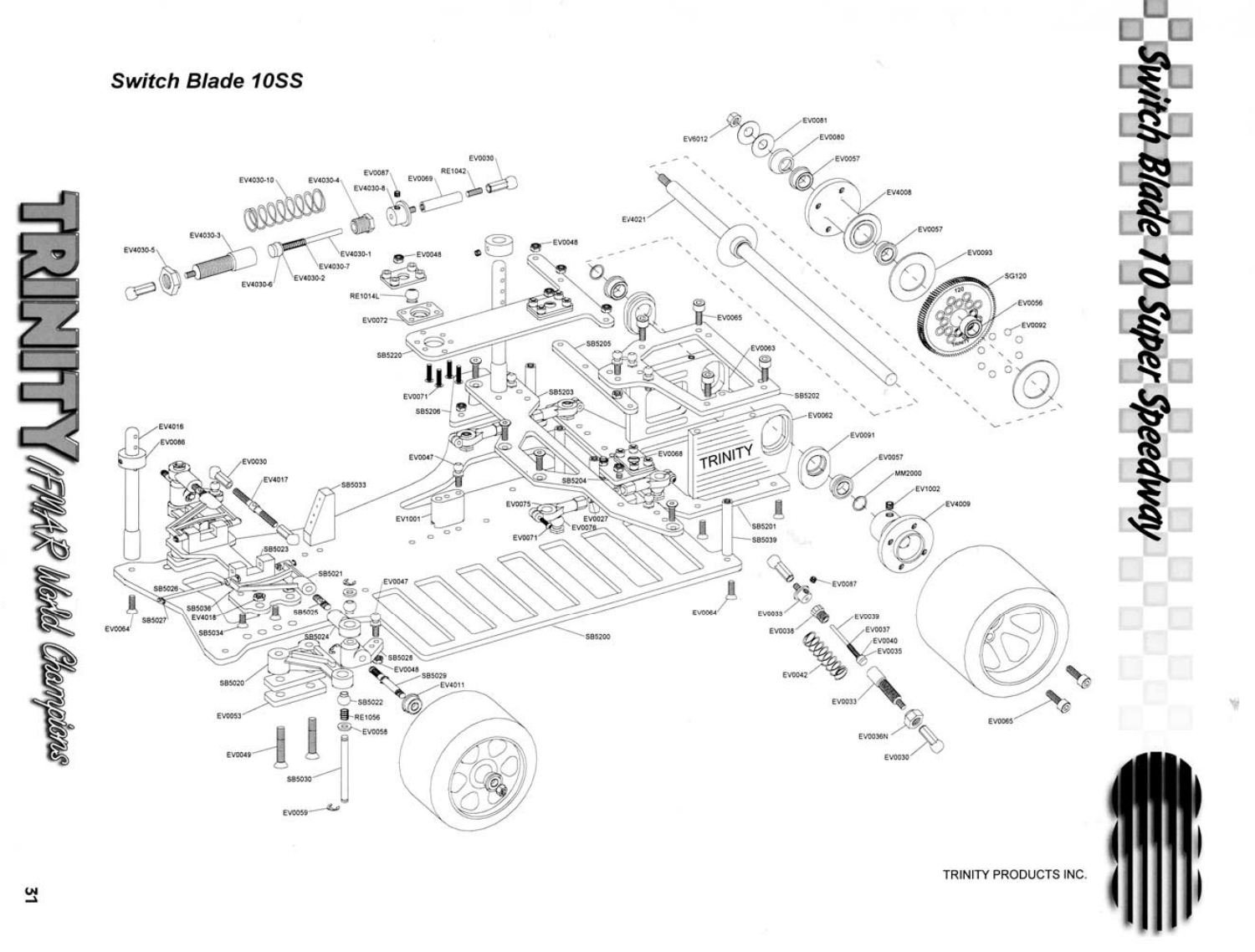

57

## TRINITY PRODUCTS INC.